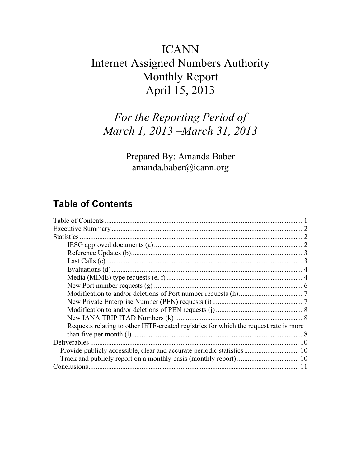# ICANN Internet Assigned Numbers Authority Monthly Report April 15, 2013

# *For the Reporting Period of March 1, 2013 –March 31, 2013*

Prepared By: Amanda Baber amanda.baber@icann.org

### **Table of Contents**

| <b>Statistics</b>                                                                     |  |
|---------------------------------------------------------------------------------------|--|
|                                                                                       |  |
|                                                                                       |  |
|                                                                                       |  |
|                                                                                       |  |
|                                                                                       |  |
|                                                                                       |  |
|                                                                                       |  |
|                                                                                       |  |
|                                                                                       |  |
|                                                                                       |  |
| Requests relating to other IETF-created registries for which the request rate is more |  |
|                                                                                       |  |
| <b>Deliverables</b>                                                                   |  |
|                                                                                       |  |
|                                                                                       |  |
|                                                                                       |  |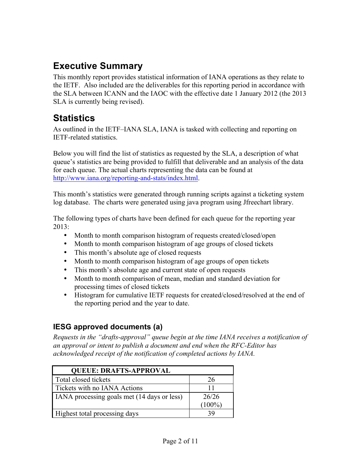## **Executive Summary**

This monthly report provides statistical information of IANA operations as they relate to the IETF. Also included are the deliverables for this reporting period in accordance with the SLA between ICANN and the IAOC with the effective date 1 January 2012 (the 2013 SLA is currently being revised).

## **Statistics**

As outlined in the IETF–IANA SLA, IANA is tasked with collecting and reporting on IETF-related statistics.

Below you will find the list of statistics as requested by the SLA, a description of what queue's statistics are being provided to fulfill that deliverable and an analysis of the data for each queue. The actual charts representing the data can be found at http://www.iana.org/reporting-and-stats/index.html.

This month's statistics were generated through running scripts against a ticketing system log database. The charts were generated using java program using Jfreechart library.

The following types of charts have been defined for each queue for the reporting year 2013:

- Month to month comparison histogram of requests created/closed/open
- Month to month comparison histogram of age groups of closed tickets
- This month's absolute age of closed requests
- Month to month comparison histogram of age groups of open tickets
- This month's absolute age and current state of open requests
- Month to month comparison of mean, median and standard deviation for processing times of closed tickets
- Histogram for cumulative IETF requests for created/closed/resolved at the end of the reporting period and the year to date.

#### **IESG approved documents (a)**

*Requests in the "drafts-approval" queue begin at the time IANA receives a notification of an approval or intent to publish a document and end when the RFC-Editor has acknowledged receipt of the notification of completed actions by IANA.*

| <b>OUEUE: DRAFTS-APPROVAL</b>               |           |
|---------------------------------------------|-----------|
| Total closed tickets                        | 26        |
| Tickets with no IANA Actions                | 11        |
| IANA processing goals met (14 days or less) | 26/26     |
|                                             | $(100\%)$ |
| Highest total processing days               | 39        |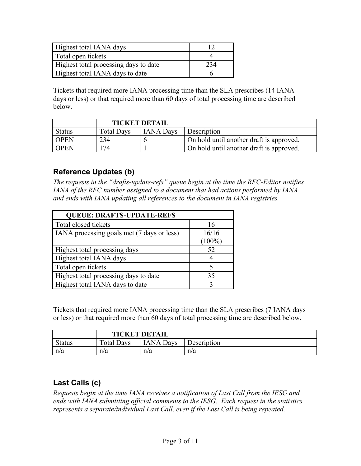| Highest total IANA days               |     |
|---------------------------------------|-----|
| Total open tickets                    |     |
| Highest total processing days to date | 234 |
| Highest total IANA days to date       |     |

Tickets that required more IANA processing time than the SLA prescribes (14 IANA days or less) or that required more than 60 days of total processing time are described below.

|               | <b>TICKET DETAIL</b> |                  |                                          |
|---------------|----------------------|------------------|------------------------------------------|
| <b>Status</b> | <b>Total Days</b>    | <b>IANA Days</b> | Description                              |
| <b>OPEN</b>   | 234                  |                  | On hold until another draft is approved. |
| <b>OPEN</b>   | 174                  |                  | On hold until another draft is approved. |

#### **Reference Updates (b)**

*The requests in the "drafts-update-refs" queue begin at the time the RFC-Editor notifies IANA of the RFC number assigned to a document that had actions performed by IANA and ends with IANA updating all references to the document in IANA registries.*

| <b>QUEUE: DRAFTS-UPDATE-REFS</b>           |           |
|--------------------------------------------|-----------|
| Total closed tickets                       | 16        |
| IANA processing goals met (7 days or less) | 16/16     |
|                                            | $(100\%)$ |
| Highest total processing days              | 52        |
| Highest total IANA days                    | 4         |
| Total open tickets                         |           |
| Highest total processing days to date      | 35        |
| Highest total IANA days to date            |           |

Tickets that required more IANA processing time than the SLA prescribes (7 IANA days or less) or that required more than 60 days of total processing time are described below.

|               | <b>TICKET DETAIL</b> |                  |             |
|---------------|----------------------|------------------|-------------|
| <b>Status</b> | <b>Total Days</b>    | <b>IANA</b> Days | Description |
| n/a           | n/a                  | n/a              | n/a         |

### **Last Calls (c)**

*Requests begin at the time IANA receives a notification of Last Call from the IESG and ends with IANA submitting official comments to the IESG. Each request in the statistics represents a separate/individual Last Call, even if the Last Call is being repeated.*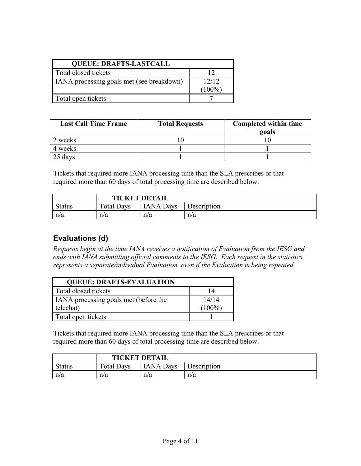| <b>QUEUE: DRAFTS-LASTCALL</b>             |           |  |
|-------------------------------------------|-----------|--|
| Total closed tickets                      | 12        |  |
| IANA processing goals met (see breakdown) | 12/12     |  |
|                                           | $(100\%)$ |  |
| Total open tickets                        |           |  |

| <b>Last Call Time Frame</b> | <b>Total Requests</b> | <b>Completed within time</b><br>goals |
|-----------------------------|-----------------------|---------------------------------------|
| 2 weeks                     |                       |                                       |
| 4 weeks                     |                       |                                       |
| 25 days                     |                       |                                       |

Tickets that required more IANA processing time than the SLA prescribes or that required more than 60 days of total processing time are described below.

|               | <b>TICKET DETAIL</b> |                 |             |
|---------------|----------------------|-----------------|-------------|
| <b>Status</b> | <b>Total Days</b>    | <b>ANA Days</b> | Description |
| n/a           | n/a                  | n/a             | n/a         |

#### **Evaluations (d)**

*Requests begin at the time IANA receives a notification of Evaluation from the IESG and ends with IANA submitting official comments to the IESG. Each request in the statistics represents a separate/individual Evaluation, even if the Evaluation is being repeated.*

| <b>QUEUE: DRAFTS-EVALUATION</b>       |           |
|---------------------------------------|-----------|
| Total closed tickets                  | 14        |
| IANA processing goals met (before the | 14/14     |
| telechat)                             | $(100\%)$ |
| Total open tickets                    |           |

Tickets that required more IANA processing time than the SLA prescribes or that required more than 60 days of total processing time are described below.

|               | <b>TICKET DETAIL</b> |                  |             |
|---------------|----------------------|------------------|-------------|
| <b>Status</b> | <b>Total Days</b>    | <b>IANA Days</b> | Description |
| n/a           | n/a                  | n/a              | n/a         |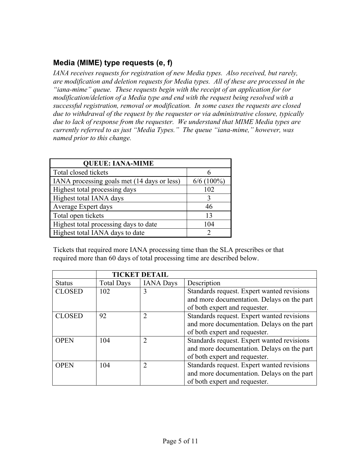#### **Media (MIME) type requests (e, f)**

*IANA receives requests for registration of new Media types. Also received, but rarely, are modification and deletion requests for Media types. All of these are processed in the "iana-mime" queue. These requests begin with the receipt of an application for (or modification/deletion of a Media type and end with the request being resolved with a successful registration, removal or modification. In some cases the requests are closed due to withdrawal of the request by the requester or via administrative closure, typically due to lack of response from the requester. We understand that MIME Media types are currently referred to as just "Media Types." The queue "iana-mime," however, was named prior to this change.*

| <b>QUEUE: IANA-MIME</b>                     |              |
|---------------------------------------------|--------------|
| Total closed tickets                        |              |
| IANA processing goals met (14 days or less) | $6/6(100\%)$ |
| Highest total processing days               | 102          |
| Highest total IANA days                     |              |
| Average Expert days                         | 46           |
| Total open tickets                          | 13           |
| Highest total processing days to date       | 104          |
| Highest total IANA days to date             | 2            |

Tickets that required more IANA processing time than the SLA prescribes or that required more than 60 days of total processing time are described below.

|               |                   | <b>TICKET DETAIL</b> |                                            |
|---------------|-------------------|----------------------|--------------------------------------------|
| <b>Status</b> | <b>Total Days</b> | <b>IANA</b> Days     | Description                                |
| <b>CLOSED</b> | 102               | 3                    | Standards request. Expert wanted revisions |
|               |                   |                      | and more documentation. Delays on the part |
|               |                   |                      | of both expert and requester.              |
| <b>CLOSED</b> | 92                | 2                    | Standards request. Expert wanted revisions |
|               |                   |                      | and more documentation. Delays on the part |
|               |                   |                      | of both expert and requester.              |
| <b>OPEN</b>   | 104               | $\overline{2}$       | Standards request. Expert wanted revisions |
|               |                   |                      | and more documentation. Delays on the part |
|               |                   |                      | of both expert and requester.              |
| <b>OPEN</b>   | 104               | 2                    | Standards request. Expert wanted revisions |
|               |                   |                      | and more documentation. Delays on the part |
|               |                   |                      | of both expert and requester.              |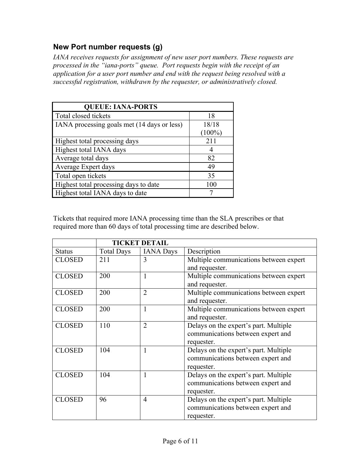#### **New Port number requests (g)**

*IANA receives requests for assignment of new user port numbers. These requests are processed in the "iana-ports" queue. Port requests begin with the receipt of an application for a user port number and end with the request being resolved with a successful registration, withdrawn by the requester, or administratively closed.*

| <b>QUEUE: IANA-PORTS</b>                    |           |
|---------------------------------------------|-----------|
| Total closed tickets                        | 18        |
| IANA processing goals met (14 days or less) | 18/18     |
|                                             | $(100\%)$ |
| Highest total processing days               | 211       |
| Highest total IANA days                     |           |
| Average total days                          | 82        |
| Average Expert days                         | 49        |
| Total open tickets                          | 35        |
| Highest total processing days to date       | 100       |
| Highest total IANA days to date             |           |

Tickets that required more IANA processing time than the SLA prescribes or that required more than 60 days of total processing time are described below.

|               | <b>TICKET DETAIL</b> |                  |                                        |
|---------------|----------------------|------------------|----------------------------------------|
| <b>Status</b> | <b>Total Days</b>    | <b>IANA</b> Days | Description                            |
| <b>CLOSED</b> | 211                  | 3                | Multiple communications between expert |
|               |                      |                  | and requester.                         |
| <b>CLOSED</b> | 200                  | 1                | Multiple communications between expert |
|               |                      |                  | and requester.                         |
| <b>CLOSED</b> | 200                  | $\overline{2}$   | Multiple communications between expert |
|               |                      |                  | and requester.                         |
| <b>CLOSED</b> | 200                  | 1                | Multiple communications between expert |
|               |                      |                  | and requester.                         |
| <b>CLOSED</b> | 110                  | $\overline{2}$   | Delays on the expert's part. Multiple  |
|               |                      |                  | communications between expert and      |
|               |                      |                  | requester.                             |
| <b>CLOSED</b> | 104                  | 1                | Delays on the expert's part. Multiple  |
|               |                      |                  | communications between expert and      |
|               |                      |                  | requester.                             |
| <b>CLOSED</b> | 104                  | 1                | Delays on the expert's part. Multiple  |
|               |                      |                  | communications between expert and      |
|               |                      |                  | requester.                             |
| <b>CLOSED</b> | 96                   | $\overline{4}$   | Delays on the expert's part. Multiple  |
|               |                      |                  | communications between expert and      |
|               |                      |                  | requester.                             |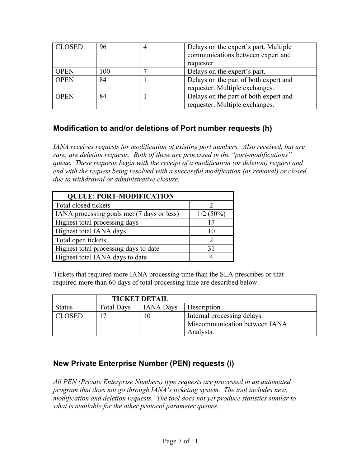| <b>CLOSED</b> | 96  | $\overline{4}$ | Delays on the expert's part. Multiple |
|---------------|-----|----------------|---------------------------------------|
|               |     |                | communications between expert and     |
|               |     |                | requester.                            |
| <b>OPEN</b>   | 100 |                | Delays on the expert's part.          |
| <b>OPEN</b>   | 84  |                | Delays on the part of both expert and |
|               |     |                | requester. Multiple exchanges.        |
| <b>OPEN</b>   | 84  |                | Delays on the part of both expert and |
|               |     |                | requester. Multiple exchanges.        |

#### **Modification to and/or deletions of Port number requests (h)**

*IANA receives requests for modification of existing port numbers. Also received, but are rare, are deletion requests. Both of these are processed in the "port-modifications" queue. These requests begin with the receipt of a modification (or deletion) request and end with the request being resolved with a successful modification (or removal) or closed due to withdrawal or administrative closure.*

| <b>QUEUE: PORT-MODIFICATION</b>            |             |
|--------------------------------------------|-------------|
| Total closed tickets                       |             |
| IANA processing goals met (7 days or less) | $1/2(50\%)$ |
| Highest total processing days              | 17          |
| Highest total IANA days                    | 10          |
| Total open tickets                         |             |
| Highest total processing days to date      | 31          |
| Highest total IANA days to date            |             |

Tickets that required more IANA processing time than the SLA prescribes or that required more than 60 days of total processing time are described below.

|               | <b>TICKET DETAIL</b> |                  |                               |
|---------------|----------------------|------------------|-------------------------------|
| <b>Status</b> | <b>Total Days</b>    | <b>IANA Days</b> | Description                   |
| <b>CLOSED</b> |                      | 10               | Internal processing delays.   |
|               |                      |                  | Miscommunication between IANA |
|               |                      |                  | Analysts.                     |

#### **New Private Enterprise Number (PEN) requests (i)**

*All PEN (Private Enterprise Numbers) type requests are processed in an automated program that does not go through IANA's ticketing system. The tool includes new, modification and deletion requests. The tool does not yet produce statistics similar to what is available for the other protocol parameter queues.*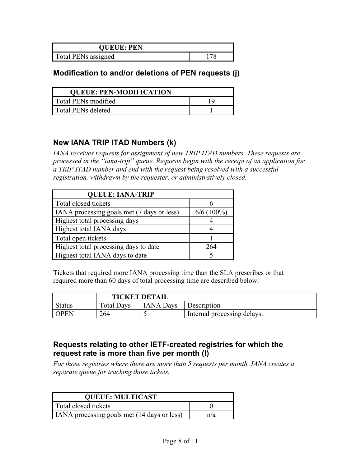| <b>QUEUE: PEN</b>   |  |
|---------------------|--|
| Total PENs assigned |  |

#### **Modification to and/or deletions of PEN requests (j)**

| <b>QUEUE: PEN-MODIFICATION</b> |  |  |
|--------------------------------|--|--|
| Total PENs modified            |  |  |
| Total PENs deleted             |  |  |

#### **New IANA TRIP ITAD Numbers (k)**

*IANA receives requests for assignment of new TRIP ITAD numbers. These requests are processed in the "iana-trip" queue. Requests begin with the receipt of an application for a TRIP ITAD number and end with the request being resolved with a successful registration, withdrawn by the requester, or administratively closed.*

| <b>QUEUE: IANA-TRIP</b>                    |              |
|--------------------------------------------|--------------|
| Total closed tickets                       |              |
| IANA processing goals met (7 days or less) | $6/6$ (100%) |
| Highest total processing days              |              |
| Highest total IANA days                    |              |
| Total open tickets                         |              |
| Highest total processing days to date      | 264          |
| Highest total IANA days to date            |              |

Tickets that required more IANA processing time than the SLA prescribes or that required more than 60 days of total processing time are described below.

|               | <b>TICKET DETAIL</b> |                  |                             |
|---------------|----------------------|------------------|-----------------------------|
| <b>Status</b> | Total Days           | <b>IANA Days</b> | Description                 |
| ' OPEN        | 264                  |                  | Internal processing delays. |

#### **Requests relating to other IETF-created registries for which the request rate is more than five per month (l)**

*For those registries where there are more than 5 requests per month, IANA creates a separate queue for tracking those tickets.* 

| <b>QUEUE: MULTICAST</b>                            |     |  |
|----------------------------------------------------|-----|--|
| Total closed tickets                               |     |  |
| <b>IANA</b> processing goals met (14 days or less) | n/a |  |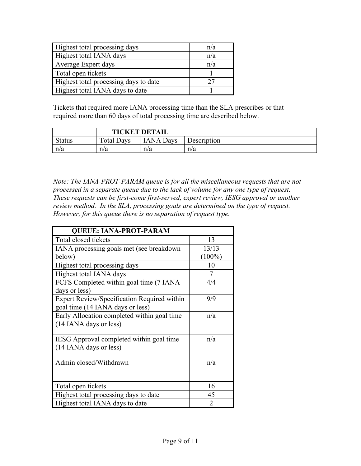| Highest total processing days         | n/a |
|---------------------------------------|-----|
| Highest total IANA days               | n/a |
| Average Expert days                   | n/a |
| Total open tickets                    |     |
| Highest total processing days to date | 27  |
| Highest total IANA days to date       |     |

Tickets that required more IANA processing time than the SLA prescribes or that required more than 60 days of total processing time are described below.

|               | <b>TICKET DETAIL</b> |                  |             |  |
|---------------|----------------------|------------------|-------------|--|
| <b>Status</b> | <b>Total Days</b>    | <b>IANA</b> Days | Description |  |
| n/a           | n/a                  | n/a              | n/a         |  |

*Note: The IANA-PROT-PARAM queue is for all the miscellaneous requests that are not processed in a separate queue due to the lack of volume for any one type of request. These requests can be first-come first-served, expert review, IESG approval or another review method. In the SLA, processing goals are determined on the type of request. However, for this queue there is no separation of request type.*

| <b>QUEUE: IANA-PROT-PARAM</b>               |                |  |  |  |
|---------------------------------------------|----------------|--|--|--|
| Total closed tickets                        | 13             |  |  |  |
| IANA processing goals met (see breakdown    | 13/13          |  |  |  |
| below)                                      | $(100\%)$      |  |  |  |
| Highest total processing days               | 10             |  |  |  |
| Highest total IANA days                     | 7              |  |  |  |
| FCFS Completed within goal time (7 IANA)    | 4/4            |  |  |  |
| days or less)                               |                |  |  |  |
| Expert Review/Specification Required within | 9/9            |  |  |  |
| goal time (14 IANA days or less)            |                |  |  |  |
| Early Allocation completed within goal time | n/a            |  |  |  |
| (14 IANA days or less)                      |                |  |  |  |
|                                             |                |  |  |  |
| IESG Approval completed within goal time    | n/a            |  |  |  |
| (14 IANA days or less)                      |                |  |  |  |
| Admin closed/Withdrawn                      | n/a            |  |  |  |
|                                             |                |  |  |  |
|                                             |                |  |  |  |
| Total open tickets                          | 16             |  |  |  |
| Highest total processing days to date       | 45             |  |  |  |
| Highest total IANA days to date             | $\overline{2}$ |  |  |  |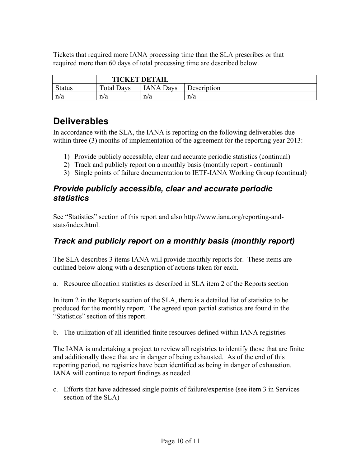Tickets that required more IANA processing time than the SLA prescribes or that required more than 60 days of total processing time are described below.

|        | <b>TICKET DETAIL</b> |                  |             |  |
|--------|----------------------|------------------|-------------|--|
| Status | <b>Total Days</b>    | <b>IANA Days</b> | Description |  |
| n/a    | n/a                  | n/a              | n/a         |  |

### **Deliverables**

In accordance with the SLA, the IANA is reporting on the following deliverables due within three (3) months of implementation of the agreement for the reporting year 2013:

- 1) Provide publicly accessible, clear and accurate periodic statistics (continual)
- 2) Track and publicly report on a monthly basis (monthly report continual)
- 3) Single points of failure documentation to IETF-IANA Working Group (continual)

#### *Provide publicly accessible, clear and accurate periodic statistics*

See "Statistics" section of this report and also http://www.iana.org/reporting-andstats/index.html

### *Track and publicly report on a monthly basis (monthly report)*

The SLA describes 3 items IANA will provide monthly reports for. These items are outlined below along with a description of actions taken for each.

a. Resource allocation statistics as described in SLA item 2 of the Reports section

In item 2 in the Reports section of the SLA, there is a detailed list of statistics to be produced for the monthly report. The agreed upon partial statistics are found in the "Statistics" section of this report.

b. The utilization of all identified finite resources defined within IANA registries

The IANA is undertaking a project to review all registries to identify those that are finite and additionally those that are in danger of being exhausted. As of the end of this reporting period, no registries have been identified as being in danger of exhaustion. IANA will continue to report findings as needed.

c. Efforts that have addressed single points of failure/expertise (see item 3 in Services section of the SLA)